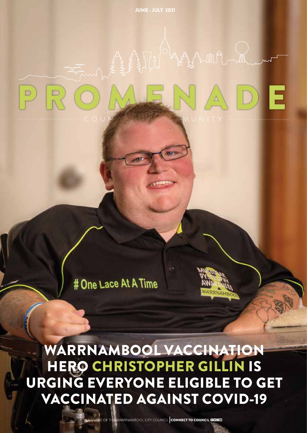JUNE - JULY 2021

# 

# One Lace At A Time

WARRNAMBOOL VACCINATION HERO CHRISTOPHER GILLIN IS URGING EVERYONE ELIGIBLE TO GET VACCINATED AGAINST COVID-19

VZINE OF THE WARRNAMBOOL CITY COUNCIL CONNECT TO COUNCIL FIDIO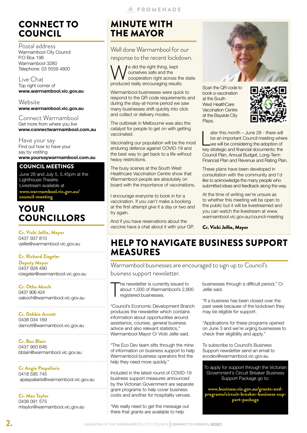MINUTE WITH THE MAYOR

We did the right thing, kept<br>
produced really encouraging results.<br>
produced really encouraging results. ourselves safe and the

and collect or delivery modes.

vaccinated.

try again.

heavy restrictions.

respond to the QR code requirements and during the stay-at-home period we saw many businesses shift quickly into click

The outbreak in Melbourne was also the catalyst for people to get on with getting

Vaccinating our population will be the most enduring defence against COVID-19 and the best way to get back to a life without

The busy scenes at the South West Healthcare Vaccination Centre show that Warrnambool people are absolutely on board with the importance of vaccinations.

I encourage everyone to book in for a vaccination. If you can't make a booking at the first attempt give it a day or two and

And if you have reservations about the vaccine have a chat about it with your GP.

# CONNECT TO COUNCIL

Postal address Warrnambool City Council P.O Box 198 Warrnambool 3280 Telephone: 03 5559 4800

Live Chat Top right corner of **www.warrnambool.vic.gov.au**

Website **www.warrnambool.vic.gov.au**

Connect Warrnambool Get more from where you live **www.connectwarrnambool.com.au**

Have your say Find out how to have your say by vistiting **www.yoursaywarrnambool.com.au**

#### COUNCIL MEETINGS

June 28 and July 5, 5.45pm at the Lighthouse Theatre. Livestream available at www.warrnambool.vic.gov.au/ council-meeting

# YOUR COUNCILLORS

Cr. Vicki Jellie, Mayor 0437 937 810 vjellie@warrnambool.vic.gov.au

#### . . . . . . . . . . . . . . . . . . Cr. Richard Ziegeler

Deputy Mayor 0437 928 490 rziegeler@warrnambool.vic.gov.au

Cr. Otha Akoch 0437 906 424 oakoch@warrnambool.vic.gov.au

Cr. Debbie Arnott 0438 034 169 darnott@warrnambool.vic.gov.au

Cr. Ben Blain 0437 900 646 bblain@warrnambool.vic.gov.au

Cr Angie Paspaliaris 0418 595 745 apaspaliaris@warrnambool.vic.gov.au

Cr. Max Taylor 0438 091 575 mtaylor@warrnambool.vic.gov.au Well done Warrnambool for our response to the recent lockdown. cooperation right across the state Warrnambool businesses were quick to Scan the QR code to

book a vaccination at the South West HealthCare Vaccination Centre at the Bayside City Plaza.



ater this month – June 28 - there will<br>be an important Council meeting whe<br>we will be considering the adoption of<br>key strategic and financial documents: the ater this month – June 28 - there will be an important Council meeting where we will be considering the adoption of Council Plan, Annual Budget, Long-Term Financial Plan and Revenue and Rating Plan.

These plans have been developed in consultation with the community and I'd like to acknowledge the many people who submitted ideas and feedback along the way.

At the time of writing we're unsure as to whether this meeting will be open to the public but it will be livestreamed and you can watch the livestream at www. warrnambool.vic.gov.au/council-meeting

Cr. Vicki Jellie, Mayor

# HELP TO NAVIGATE BUSINESS SUPPORT MEASURES

Warrnambool businesses are encouraged to sign up to Council's

business support newsletter.

T he newsletter is currently issued to about 1,000 of Warrnambool's 2,800 registered businesses.

"Council's Economic Development Branch produces the newsletter which contains information about opportunities around assistance, courses, general business advice and also relevant statistics," Warrnambool Mayor Cr Vicki Jellie said.

"The Eco Dev team sifts through the mine of information on business support to help Warrnambool business operators find the help they need more quickly."

Included in the latest round of COVID-19 business support measures announced by the Victorian Government are separate grant programs to help cover business costs and another for hospitality venues.

"We really need to get the message out there that grants are available to help

businesses through a difficult period," Cr Jellie said.

"If a business has been closed over the past week because of the lockdown they may be eligible for support.

"Applications for these programs opened on June 3 and we're urging businesses to check their eligibility and apply."

To subscribe to Council's Business Support newsletter send an email to ecodev@warrnambool.vic.gov.au

To apply for support through the Victorian Government's Circuit Breaker Business Support Package go to:

www.business.vic.gov.au/grants-andprograms/circuit-breaker-business-support-package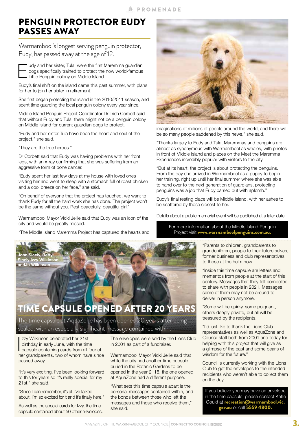# PENGUIN PROTECTOR EUDY PASSES AWAY

#### Warrnambool's longest serving penguin protector, Eudy, has passed away at the age of 12.



Ludy and her sister, Tula, were the first Maremma guardian<br>dogs specifically trained to protect the now world-famous<br>Little Penguin colony on Middle Island. dogs specifically trained to protect the now world-famous Little Penguin colony on Middle Island.

Eudy's final shift on the island came this past summer, with plans for her to join her sister in retirement.

She first began protecting the island in the 2010/2011 season, and spent time guarding the local penguin colony every year since.

Middle Island Penguin Project Coordinator Dr Trish Corbett said that without Eudy and Tula, there might not be a penguin colony on Middle Island for current guardian dogs to protect.

"Eudy and her sister Tula have been the heart and soul of the project," she said.

"They are the true heroes."

Dr Corbett said that Eudy was having problems with her front legs, with an x-ray confirming that she was suffering from an aggressive form of bone cancer.

"Eudy spent her last few days at my house with loved ones visiting her and went to sleep with a stomach full of roast chicken and a cool breeze on her face," she said.

"On behalf of everyone that the project has touched, we want to thank Eudy for all the hard work she has done. The project won't be the same without you. Rest peacefully, beautiful girl."

Warrnambool Mayor Vicki Jellie said that Eudy was an icon of the city and would be greatly missed.

"The Middle Island Maremma Project has captured the hearts and



# TIME CAPSULE OPENED AFTER 20 YEARS

The time capsule at AquaZone has been opened 20 years after being sealed, with an especially significant message contained within.

 $\prod_{h}$ zzy Wilkinson celebrated her 21st birthday in early June, with the time capsule containing cards from all four of her grandparents, two of whom have since passed away.

"It's very exciting, I've been looking forward to this for years so it's really special for my 21st," she said.

"Since I can remember, it's all I've talked about. I'm so excited for it and it's finally here."

As well as the special cards for Izzy, the time capsule contained about 50 other envelopes. The envelopes were sold by the Lions Club in 2001 as part of a fundraiser.

Warrnambool Mayor Vicki Jellie said that while the city had another time capsule buried in the Botanic Gardens to be opened in the year 2118, the one opened at AquaZone had a different purpose.

"What sets this time capsule apart is the personal messages contained within, and the bonds between those who left the messages and those who receive them," she said.



imaginations of millions of people around the world, and there will be so many people saddened by this news," she said.

"Thanks largely to Eudy and Tula, Maremmas and penguins are almost as synonymous with Warrnambool as whales, with photos in front of Middle Island and places on the Meet the Maremma Experiences incredibly popular with visitors to the city.

"But at its heart, the project is about protecting the penguins. From the day she arrived in Warrnambool as a puppy to begin her training, right up until her final summer where she was able to hand over to the next generation of guardians, protecting penguins was a job that Eudy carried out with aplomb."

Eudy's final resting place will be Middle Island, with her ashes to be scattered by those closest to her.

Details about a public memorial event will be published at a later date.

For more information about the Middle Island Penguin Project visit www.warrnamboolpenguins.com.au.

> "Parents to children, grandparents to grandchildren, people to their future selves, former business and club representatives to those at the helm now.

> "Inside this time capsule are letters and mementos from people at the start of this century. Messages that they felt compelled to share with people in 2021. Messages some of them may not be around to deliver in person anymore.

"Some will be quirky, some poignant, others deeply private, but all will be treasured by the recipients.

"I'd just like to thank the Lions Club representatives as well as AquaZone and Council staff both from 2001 and today for helping with this project that will give as a glimpse of the past and some pearls of wisdom for the future."

Council is currently working with the Lions Club to get the envelopes to the intended recipients who weren't able to collect them on the day.

If you believe you may have an envelope in the time capsule, please contact Kellie Gould at recreation@warrnambool.vic. gov.au or call 5559 4800.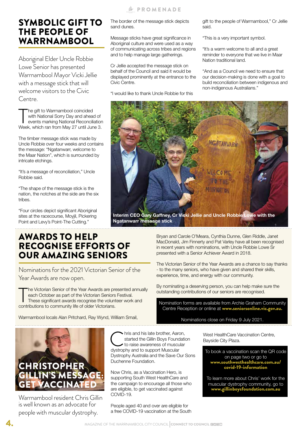started the Gillin Boys Foundation to raise awareness of muscular

dystrophy and to support Muscular Dystrophy Australia and the Save Our Sons Duchenne Foundation. Now Chris, as a Vaccination Hero, is supporting South West HealthCare and

the campaign to encourage all those who are eligible, to get vaccinated against COVID-19.

People aged 40 and over are eligible for a free COVID-19 vaccination at the South

### 4. Anagazine of the warrnambool city council Connect to council fided

The border of the message stick depicts sand dunes.

Message sticks have great significance in Aboriginal culture and were used as a way of communicating across tribes and regions and to help manage large gatherings.

**A PROMENADE** 

Cr Jellie accepted the message stick on behalf of the Council and said it would be displayed prominently at the entrance to the Civic Centre.

"I would like to thank Uncle Robbie for this

**Ngatanwarr message stick**

gift to the people of Warrnambool," Cr Jellie said.

"This is a very important symbol.

"It's a warm welcome to all and a great reminder to everyone that we live in Maar Nation traditional land.

"And as a Council we need to ensure that our decision-making is done with a goal to build reconciliation between indigenous and non-indigenous Australians."

MacDonald, Jim Finnerty and Pat Varley have all been recognised in recent years with nominations, with Uncle Robbie Lowe Sr presented with a Senior Achiever Award in 2018. The Victorian Senior of the Year Awards are a chance to say thanks

**NGATANVARR** 

**COME** O THE **MAAR NAT TON** 

Bryan and Carole O'Meara, Cynthia Dunne, Glen Riddle, Janet

**Interim CEO Gary Gaffney, Cr Vicki Jellie and Uncle Robbie Lowe with the** 

- to the many seniors, who have given and shared their skills, experience, time, and energy with our community.

By nominating a deserving person, you can help make sure the outstanding contributions of our seniors are recognised.

Nomination forms are available from Archie Graham Community Centre Reception or online at www.seniorsonline.vic.gov.au.

Nominations close on Friday 9 July 2021.

West HealthCare Vaccination Centre, Bayside City Plaza.

To book a vaccination scan the QR code on page two or go to www.southwesthealthcare.com.au/ covid-19-information

To learn more about Chris' work for the muscular dystrophy community, go to www.gillinboysfoundation.com.au

## SYMBOLIC GIFT TO THE PEOPLE OF WARRNAMBOOL

Aboriginal Elder Uncle Robbie Lowe Senior has presented Warrnambool Mayor Vicki Jellie with a message stick that will welcome visitors to the Civic Centre.

The gift to Warrnambool coincided<br>with National Sorry Day and ahead of<br>events marking National Reconciliation<br>Week, which ran from May 27 until June 3. he gift to Warrnambool coincided with National Sorry Day and ahead of events marking National Reconciliation

The timber message stick was made by Uncle Robbie over four weeks and contains the message: "Ngatanwarr, welcome to the Maar Nation", which is surrounded by intricate etchings.

"It's a message of reconciliation," Uncle Robbie said.

"The shape of the message stick is the nation, the notches at the side are the six tribes.

"Four circles depict significant Aboriginal sites at the racecourse, Moyjil, Pickering Point and Levy's Point-The Cutting."

## AWARDS TO HELP RECOGNISE EFFORTS OF OUR AMAZING SENIORS

Nominations for the 2021 Victorian Senior of the Year Awards are now open.

The Victorian Senior of the Year Awards are preach October as part of the Victorian Seniors<br>These significant awards recognise the volun<br>contributions to community life of older Victorians. he Victorian Senior of the Year Awards are presented annually each October as part of the Victorian Seniors Festival. These significant awards recognise the volunteer work and

Warrnambool locals Alan Pritchard, Ray Wynd, William Smail,



Warrnambool resident Chris Gillin is well known as an advocate for people with muscular dystrophy.

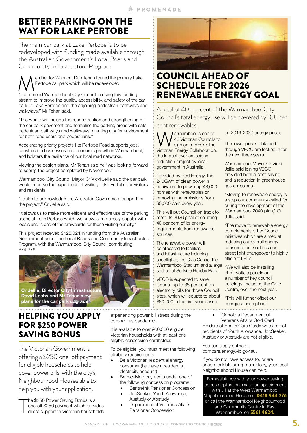# BETTER PARKING ON THE WAY FOR LAKE PERTOBE

The main car park at Lake Pertobe is to be redeveloped with funding made available through the Australian Government's Local Roads and Community Infrastructure Program.

Member for Wannon, Dan Tehan toured the primary Lake<br>
"I commend Warrnambool City Council in using this funding<br>
" Pertobe car park which will be redeveloped.

stream to improve the quality, accessibility, and safety of the car park of Lake Pertobe and the adjoining pedestrian pathways and walkways," Mr Tehan said.

"The works will include the reconstruction and strengthening of the car park pavement and formalise the parking areas with safe pedestrian pathways and walkways, creating a safer environment for both road users and pedestrians."

Accelerating priority projects like Pertobe Road supports jobs, construction businesses and economic growth in Warrnambool, and bolsters the resilience of our local road networks.

Viewing the design plans, Mr Tehan said he "was looking forward to seeing the project completed by November."

Warrnambool City Council Mayor Cr Vicki Jellie said the car park would improve the experience of visiting Lake Pertobe for visitors and residents.

"I'd like to acknowledge the Australian Government support for the project," Cr Jellie said.

"It allows us to make more efficient and effective use of the parking space at Lake Pertobe which we know is immensely popular with locals and is one of the drawcards for those visiting our city."

This project received \$425,024 in funding from the Australian Government under the Local Roads and Community Infrastructure Program, with the Warrnambool City Council contributing \$74,976.



## HELPING YOU APPLY FOR \$250 POWER SAVING BONUS

The Victorian Government is offering a \$250 one-off payment for eligible households to help cover power bills, with the city's Neighbourhood Houses able to help you with your application.

T he \$250 Power Saving Bonus is a one-off \$250 payment which provides direct support to Victorian households experiencing power bill stress during the coronavirus pandemic.

It is available to over 900,000 eligible Victorian households with at least one eligible concession cardholder.

To be eligible, you must meet the following eligibility requirements:

- Be a Victorian residential energy consumer (i.e. have a residential electricity account)
- Be receiving payments under one of the following concession programs:
	- Centrelink Pensioner Concession
	- JobSeeker, Youth Allowance,
	- Austudy or Abstudy Department of Veterans Affairs
	- Pensioner Concession



# COUNCIL AHEAD OF SCHEDULE FOR 2026 RENEWABLE ENERGY GOAL

A total of 40 per cent of the Warrnambool City Council's total energy use will be powered by 100 per cent renewables.

**WA** A Victorian Councils to sign on to VECO, the Victorian Energy Collaboration, 46 Victorian Councils to sign on to VECO, the the largest ever emissions reduction project by local government in Australia.

Provided by Red Energy, the 240GWh of clean power is equivalent to powering 48,000 homes with renewables or removing the emissions from 90,000 cars every year.

This will put Council on track to meet its 2026 goal of sourcing 40 per cent of its energy requirements from renewable sources.

The renewable power will be allocated to facilities and infrastructure including streetlights, the Civic Centre, the Warrnambool Stadium and a large section of Surfside Holiday Park.

VECO is expected to save Council up to 35 per cent on electricity bills for those Council sites, which will equate to about \$80,000 in the first year based

on 2019-2020 energy prices.

The lower prices obtained through VECO are locked in for the next three years.

Warrnambool Mayor Cr Vicki Jellie said joining VECO provided both a cost-saving and a reduction in greenhouse gas emissions.

"Moving to renewable energy is a step our community called for during the development of the Warrnambool 2040 plan," Cr Jellie said.

"The move to renewable energy complements other Council initiatives which are aimed at reducing our overall energy consumption, such as our street light changeover to highly efficient LEDs.

"We will also be installing photovoltaic panels on a number of key council buildings, including the Civic Centre, over the next year.

"This will further offset our energy consumption." 

• Or hold a Department of Veterans Affairs Gold Card

Holders of Health Care Cards who are not recipients of Youth Allowance, JobSeeker, Austudy or Abstudy are not eligible.

You can apply online at compare.energy.vic.gov.au.

If you do not have access to, or are uncomfortable using technology, your local Neighbourhood House can help.

For assistance with your power saving bonus application, make an appointment with Jill at the West Warrnambool Neighbourhood House on **0418 944 276** or call the Warrnambool Neighbourhood and Community Centre in East Warrnambool on 5561 4624.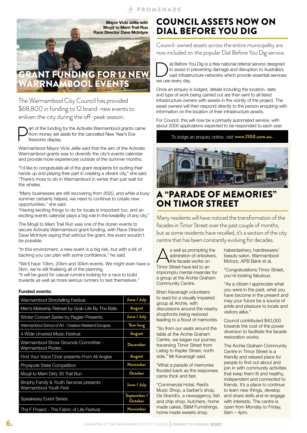**A PROMENADE** 

**Mayor Vicki Jellie with Moyjil to Merri Trail Run Race Director Dave McIntyre**

# **NT FUNDING FOR 12 NEW** RNAMBOOL EVENTS The Warrnambool City Council has provided

\$68,800 in funding to 12 brand-new events to enliven the city during the off-peak season.

art of the funding for the Activate Warrnambool grants came from money set aside for the cancelled New Year's Eve fireworks display.

Warrnambool Mayor Vicki Jellie said that the aim of the Activate Warrnambool grants was to diversify the city's events calendar and provide more experiences outside of the summer months.

"I'd like to congratulate all of the grant recipients for putting their hands up and playing their part in creating a vibrant city," she said. "There's more to do in Warrnambool in winter than just wait for the whales.

"Many businesses are still recovering from 2020, and while a busy summer certainly helped, we need to continue to create new opportunities," she said.

"Having exciting things to do for locals is important too, and an exciting events calendar plays a big role in the liveability of any city."

The Moyjil to Merri Trail Run was one of the dozen events to secure Activate Warrnambool grant funding, with Race Director Dave McIntyre saying that without the grant, the event wouldn't be possible.

"In this environment, a new event is a big risk, but with a bit of backing you can plan with some confidence," he said.

"We'll have 10km, 20km and 30km events. We might even have a 5km, we're still finalising all of the planning.

"It will be good for casual runners looking for a race to build towards as well as more serious runners to test themselves."

#### **Funded events:**

| Warrnambool Storytelling Festival                                   | June / July            |
|---------------------------------------------------------------------|------------------------|
| Men's Mateship Retreat by Grab Life By The Balls                    | <b>August</b>          |
| Winter Concert Series by Raglan Presents                            | June / July            |
| Warmambool School of Art - Creative Weekend Escapes                 | <b>Year long</b>       |
| 4 Wide Unwired Music Festival                                       | <b>August</b>          |
| Warrnambool Show Grounds Committee -<br>Warrnambool Rodeo           | <b>December</b>        |
| Find Your Voice Choir presents From All Angles                      | <b>August</b>          |
| <b>Physipole State Competition</b>                                  | <b>November</b>        |
| Moviil to Merri Dirty 30 Trail Run                                  | October                |
| Brophy Family & Youth Services presents -<br>Warrnambool Youth Fest | June / July            |
| <b>Speakeasy Event Series</b>                                       | September /<br>October |
| The F Project - The Fabric of Life Festival                         | <b>November</b>        |

# COUNCIL ASSETS NOW ON DIAL BEFORE YOU DIG

Council-owned assets across the entire municipality are now included on the popular Dial Before You Dig service.



Once an enquiry is lodged, details including the location, date and type of work being carried out are then sent to all listed infrastructure owners with assets in the vicinity of the project. The asset owners will then respond directly to the person enquiring with information on the location of their infrastructure assets.

For Council, this will now be a primarily automated service, with about 2000 applications expected to be responded to each year.

To lodge an enquiry online, visit www.1100.com.au.



# A "PARADE OF MEMORIES" ON TIMOR STREET

Many residents will have noticed the transformation of the facades in Timor Street over the past couple of months, but as some residents have recalled, it's a section of the city centre that has been constantly evolving for decades.

s well as prompting the admiration of onlookers, the facade works on Timor Street have led to an impromptu mental meander for a group at the Archie Graham Community Centre.

Brian Kavanagh volunteers to read for a visually impaired group at Archie, with discussions around the nearby shopfronts being restored leading to a flood of memories.

"So from our seats around the table at the Archie Graham Centre, we began our journey traversing Timor Street from Liebig to Kepler Street, north side," Mr Kavanagh said.

"What a parade of memories flooded back as the responses came thick and fast.

"Commercial Hotel, Reid's Music Shop, a barber's shop, De Grandi's, a newsagency, fish and chip shop, butchers, home made cakes, B&M Furnishings, home made sweets shop,

haberdashery, hairdressers/ beauty salon, Warrnambool Motors, APB Bank et al.

"Congratulations Timor Street, you're looking fabulous.

"As a citizen I appreciate what you were in the past, what you have become in the present and may your future be a source of pride and pleasure to locals and visitors alike."

Council contributed \$40,000 towards the cost of the power diversion to facilitate the facade restoration works.

The Archie Graham Community Centre in Timor Street is a friendly and relaxed place for people to find out about and join in with community activities that keep them fit and healthy, independent and connected to friends. It's a place to continue to learn new things, develop and share skills and re-engage with interests. The centre is open from Monday to Friday, 9am – 4pm.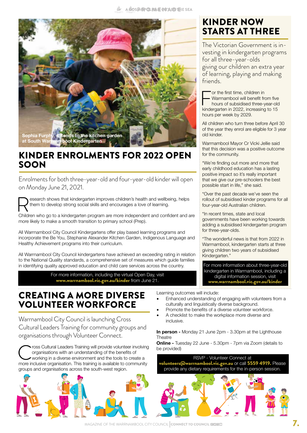

# KINDER ENROLMENTS FOR 2022 OPEN **SOON**

Enrolments for both three-year-old and four-year-old kinder will open on Monday June 21, 2021.

esearch shows that kindergarten improves children's health and wellbeing, helps them to develop strong social skills and encourages a love of learning.

Children who go to a kindergarten program are more independent and confident and are more likely to make a smooth transition to primary school (Prep).

All Warrnambool City Council Kindergartens offer play based learning programs and incorporate the Be You, Stephanie Alexander Kitchen Garden, Indigenous Language and Healthy Achievement programs into their curriculum.

All Warrnambool City Council kindergartens have achieved an exceeding rating in relation to the National Quality standards, a comprehensive set of measures which guide families in identifying quality approved education and child care services across the country.

> For more information, including the virtual Open Day, visit www.warrnambool.vic.gov.au/kinder from June 21.

# CREATING A MORE DIVERSE VOLUNTEER WORKFORCE

Warrnambool City Council is launching Cross Cultural Leaders Training for community groups and organisations through Volunteer Connect.

ross Cultural Leaders Training will provide volunteer involving organisations with an understanding of the benefits of working in a diverse environment and the tools to create a more inclusive organisation. This training is available to community groups and organisations across the south-west region.

# KINDER NOW STARTS AT THREE

The Victorian Government is investing in kindergarten programs for all three-year-olds giving our children an extra year of learning, playing and making friends.

or the first time, children in Warrnambool will benefit from five hours of subsidised three-year-old kindergarten in 2022, increasing to 15 hours per week by 2029.

All children who turn three before April 30 of the year they enrol are eligible for 3 year old kinder.

Warrnambool Mayor Cr Vicki Jellie said that this decision was a positive outcome for the community.

"We're finding out more and more that early childhood education has a lasting positive impact so it's really important that we give our pre-schoolers the best possible start in life," she said.

"Over the past decade we've seen the rollout of subsidised kinder programs for all four-year-old Australian children.

"In recent times, state and local governments have been working towards adding a subsidised kindergarten program for three-year-olds.

"The wonderful news is that from 2022 in Warrnambool, kindergarten starts at three giving children two years of subsidised Kindergarten."

For more information about three-year-old kindergarten in Warrnambool, including a digital information session, visit www.warrnambool.vic.gov.au/kinder

Learning outcomes will include:

- Enhanced understanding of engaging with volunteers from a culturally and linguistically diverse background.
- Promote the benefits of a diverse volunteer workforce.
- A checklist to make the workplace more diverse and inclusive.

**In person -** Monday 21 June 2pm - 3.30pm at the Lighthouse **Theatre** 

**Online -** Tuesday 22 June - 5.30pm - 7pm via Zoom (details to be provided)